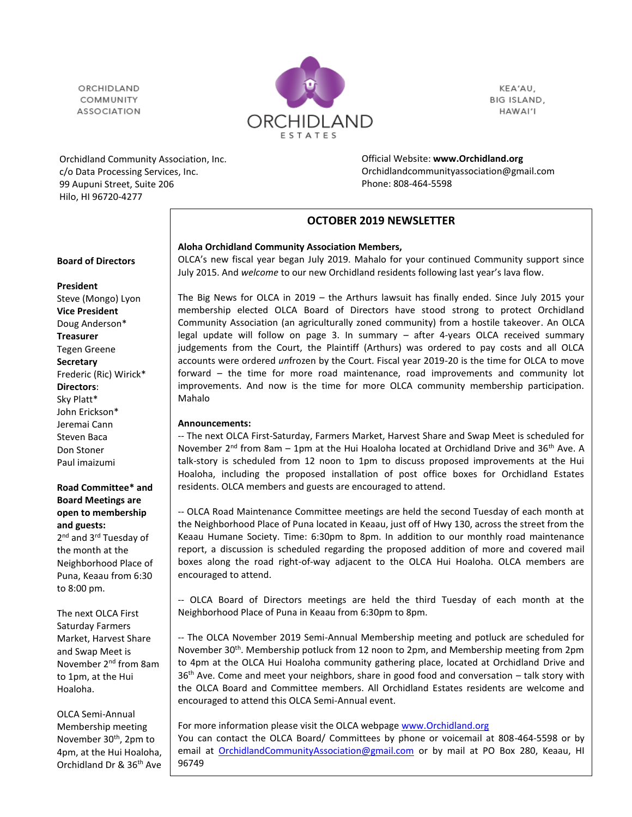ORCHIDI AND COMMUNITY **ASSOCIATION** 



KEA'AU, BIG ISLAND, HAWAI'I

Orchidland Community Association, Inc. c/o Data Processing Services, Inc. 99 Aupuni Street, Suite 206 Hilo, HI 96720-4277

Official Website: **[www.Orchidland.org](http://www.orchidland.org/)** Orchidlandcommunityassociation@gmail.com Phone: 808-464-5598

## **OCTOBER 2019 NEWSLETTER**

#### **Aloha Orchidland Community Association Members,**

OLCA's new fiscal year began July 2019. Mahalo for your continued Community support since July 2015. And *welcome* to our new Orchidland residents following last year's lava flow.

The Big News for OLCA in 2019 – the Arthurs lawsuit has finally ended. Since July 2015 your membership elected OLCA Board of Directors have stood strong to protect Orchidland Community Association (an agriculturally zoned community) from a hostile takeover. An OLCA legal update will follow on page 3. In summary – after 4-years OLCA received summary judgements from the Court, the Plaintiff (Arthurs) was ordered to pay costs and all OLCA accounts were ordered *un*frozen by the Court. Fiscal year 2019-20 is the time for OLCA to move forward – the time for more road maintenance, road improvements and community lot improvements. And now is the time for more OLCA community membership participation. Mahalo

#### **Announcements:**

-- The next OLCA First-Saturday, Farmers Market, Harvest Share and Swap Meet is scheduled for November  $2^{nd}$  from 8am – 1pm at the Hui Hoaloha located at Orchidland Drive and 36<sup>th</sup> Ave. A talk-story is scheduled from 12 noon to 1pm to discuss proposed improvements at the Hui Hoaloha, including the proposed installation of post office boxes for Orchidland Estates residents. OLCA members and guests are encouraged to attend.

-- OLCA Road Maintenance Committee meetings are held the second Tuesday of each month at the Neighborhood Place of Puna located in Keaau, just off of Hwy 130, across the street from the Keaau Humane Society. Time: 6:30pm to 8pm. In addition to our monthly road maintenance report, a discussion is scheduled regarding the proposed addition of more and covered mail boxes along the road right-of-way adjacent to the OLCA Hui Hoaloha. OLCA members are encouraged to attend.

-- OLCA Board of Directors meetings are held the third Tuesday of each month at the Neighborhood Place of Puna in Keaau from 6:30pm to 8pm.

-- The OLCA November 2019 Semi-Annual Membership meeting and potluck are scheduled for November 30th. Membership potluck from 12 noon to 2pm, and Membership meeting from 2pm to 4pm at the OLCA Hui Hoaloha community gathering place, located at Orchidland Drive and  $36<sup>th</sup>$  Ave. Come and meet your neighbors, share in good food and conversation – talk story with the OLCA Board and Committee members. All Orchidland Estates residents are welcome and encouraged to attend this OLCA Semi-Annual event.

For more information please visit the OLCA webpage [www.Orchidland.org](http://www.orchidland.org/) You can contact the OLCA Board/ Committees by phone or voicemail at 808-464-5598 or by email at [OrchidlandCommunityAssociation@gmail.com](mailto:OrchidlandCommunityAssociation@gmail.com) or by mail at PO Box 280, Keaau, HI 96749

#### **Board of Directors**

**President**

Steve (Mongo) Lyon **Vice President** Doug Anderson\* **Treasurer** Tegen Greene **Secretary** Frederic (Ric) Wirick\* **Directors**: Sky Platt\* John Erickson\* Jeremai Cann Steven Baca Don Stoner Paul imaizumi

#### **Road Committee\* and Board Meetings are open to membership and guests:**

2<sup>nd</sup> and 3<sup>rd</sup> Tuesday of the month at the Neighborhood Place of Puna, Keaau from 6:30 to 8:00 pm.

The next OLCA First Saturday Farmers Market, Harvest Share and Swap Meet is November 2nd from 8am to 1pm, at the Hui Hoaloha.

OLCA Semi-Annual Membership meeting November 30<sup>th</sup>, 2pm to 4pm, at the Hui Hoaloha, Orchidland Dr & 36th Ave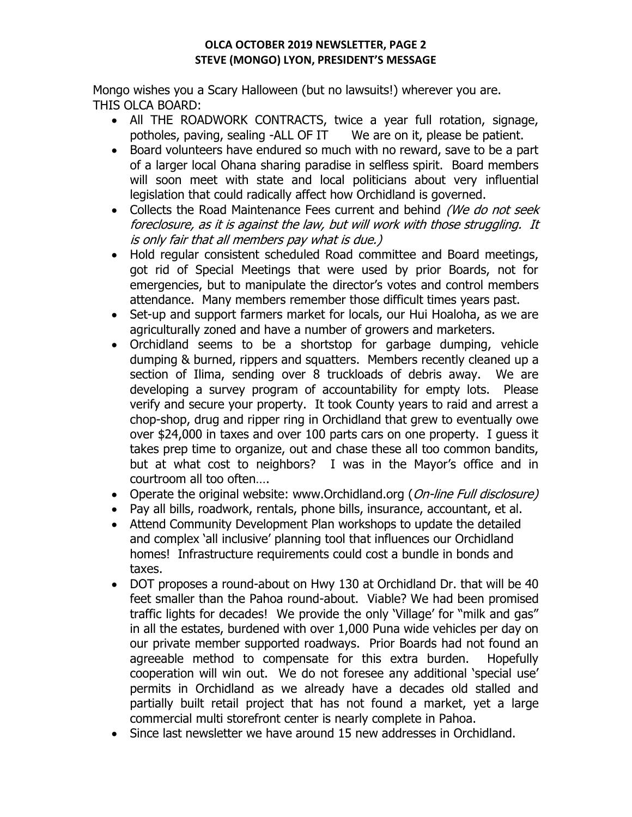# **OLCA OCTOBER 2019 NEWSLETTER, PAGE 2 STEVE (MONGO) LYON, PRESIDENT'S MESSAGE**

Mongo wishes you a Scary Halloween (but no lawsuits!) wherever you are. THIS OLCA BOARD:

- All THE ROADWORK CONTRACTS, twice a year full rotation, signage, potholes, paving, sealing -ALL OF IT We are on it, please be patient.
- Board volunteers have endured so much with no reward, save to be a part of a larger local Ohana sharing paradise in selfless spirit. Board members will soon meet with state and local politicians about very influential legislation that could radically affect how Orchidland is governed.
- Collects the Road Maintenance Fees current and behind (We do not seek foreclosure, as it is against the law, but will work with those struggling. It is only fair that all members pay what is due.)
- Hold regular consistent scheduled Road committee and Board meetings, got rid of Special Meetings that were used by prior Boards, not for emergencies, but to manipulate the director's votes and control members attendance. Many members remember those difficult times years past.
- Set-up and support farmers market for locals, our Hui Hoaloha, as we are agriculturally zoned and have a number of growers and marketers.
- Orchidland seems to be a shortstop for garbage dumping, vehicle dumping & burned, rippers and squatters. Members recently cleaned up a section of Ilima, sending over 8 truckloads of debris away. We are developing a survey program of accountability for empty lots. Please verify and secure your property. It took County years to raid and arrest a chop-shop, drug and ripper ring in Orchidland that grew to eventually owe over \$24,000 in taxes and over 100 parts cars on one property. I guess it takes prep time to organize, out and chase these all too common bandits, but at what cost to neighbors? I was in the Mayor's office and in courtroom all too often….
- Operate the original website: www.Orchidland.org (On-line Full disclosure)
- Pay all bills, roadwork, rentals, phone bills, insurance, accountant, et al.
- Attend Community Development Plan workshops to update the detailed and complex 'all inclusive' planning tool that influences our Orchidland homes! Infrastructure requirements could cost a bundle in bonds and taxes.
- DOT proposes a round-about on Hwy 130 at Orchidland Dr. that will be 40 feet smaller than the Pahoa round-about. Viable? We had been promised traffic lights for decades! We provide the only 'Village' for "milk and gas" in all the estates, burdened with over 1,000 Puna wide vehicles per day on our private member supported roadways. Prior Boards had not found an agreeable method to compensate for this extra burden. Hopefully cooperation will win out. We do not foresee any additional 'special use' permits in Orchidland as we already have a decades old stalled and partially built retail project that has not found a market, yet a large commercial multi storefront center is nearly complete in Pahoa.
- Since last newsletter we have around 15 new addresses in Orchidland.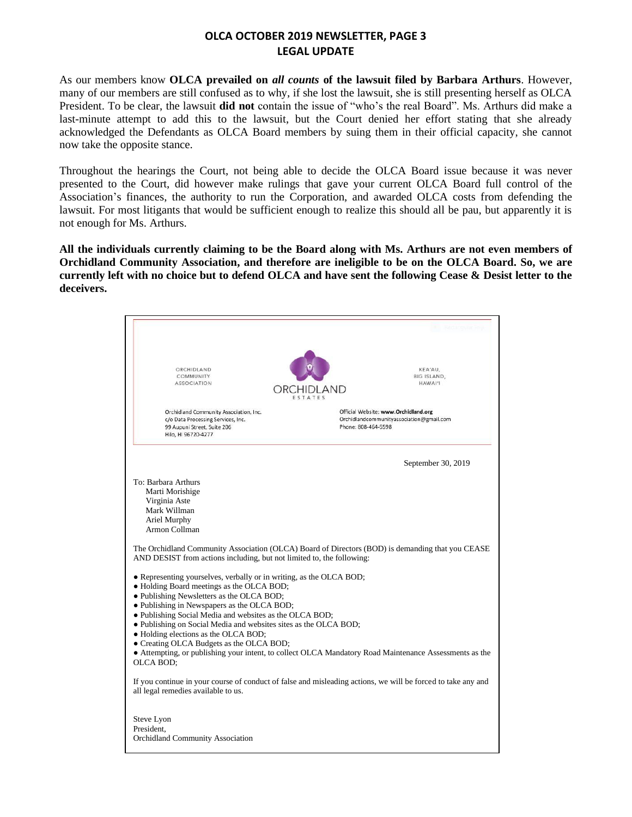# **OLCA OCTOBER 2019 NEWSLETTER, PAGE 3 LEGAL UPDATE**

As our members know **OLCA prevailed on** *all counts* **of the lawsuit filed by Barbara Arthurs**. However, many of our members are still confused as to why, if she lost the lawsuit, she is still presenting herself as OLCA President. To be clear, the lawsuit **did not** contain the issue of "who's the real Board". Ms. Arthurs did make a last-minute attempt to add this to the lawsuit, but the Court denied her effort stating that she already acknowledged the Defendants as OLCA Board members by suing them in their official capacity, she cannot now take the opposite stance.

Throughout the hearings the Court, not being able to decide the OLCA Board issue because it was never presented to the Court, did however make rulings that gave your current OLCA Board full control of the Association's finances, the authority to run the Corporation, and awarded OLCA costs from defending the lawsuit. For most litigants that would be sufficient enough to realize this should all be pau, but apparently it is not enough for Ms. Arthurs.

**All the individuals currently claiming to be the Board along with Ms. Arthurs are not even members of Orchidland Community Association, and therefore are ineligible to be on the OLCA Board. So, we are currently left with no choice but to defend OLCA and have sent the following Cease & Desist letter to the deceivers.**

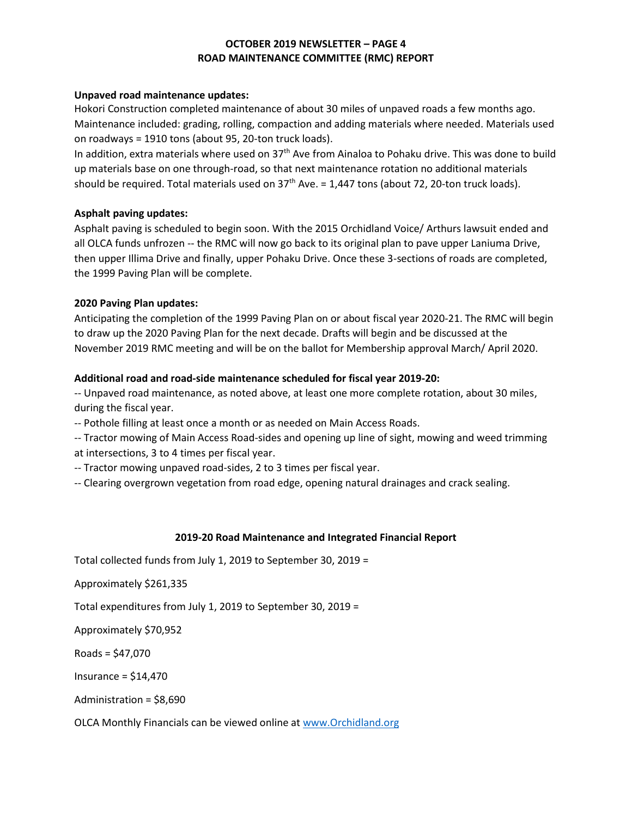## **OCTOBER 2019 NEWSLETTER – PAGE 4 ROAD MAINTENANCE COMMITTEE (RMC) REPORT**

#### **Unpaved road maintenance updates:**

Hokori Construction completed maintenance of about 30 miles of unpaved roads a few months ago. Maintenance included: grading, rolling, compaction and adding materials where needed. Materials used on roadways = 1910 tons (about 95, 20-ton truck loads).

In addition, extra materials where used on 37th Ave from Ainaloa to Pohaku drive. This was done to build up materials base on one through-road, so that next maintenance rotation no additional materials should be required. Total materials used on  $37<sup>th</sup>$  Ave. = 1,447 tons (about 72, 20-ton truck loads).

### **Asphalt paving updates:**

Asphalt paving is scheduled to begin soon. With the 2015 Orchidland Voice/ Arthurs lawsuit ended and all OLCA funds unfrozen -- the RMC will now go back to its original plan to pave upper Laniuma Drive, then upper Illima Drive and finally, upper Pohaku Drive. Once these 3-sections of roads are completed, the 1999 Paving Plan will be complete.

### **2020 Paving Plan updates:**

Anticipating the completion of the 1999 Paving Plan on or about fiscal year 2020-21. The RMC will begin to draw up the 2020 Paving Plan for the next decade. Drafts will begin and be discussed at the November 2019 RMC meeting and will be on the ballot for Membership approval March/ April 2020.

#### **Additional road and road-side maintenance scheduled for fiscal year 2019-20:**

-- Unpaved road maintenance, as noted above, at least one more complete rotation, about 30 miles, during the fiscal year.

-- Pothole filling at least once a month or as needed on Main Access Roads.

-- Tractor mowing of Main Access Road-sides and opening up line of sight, mowing and weed trimming at intersections, 3 to 4 times per fiscal year.

-- Tractor mowing unpaved road-sides, 2 to 3 times per fiscal year.

-- Clearing overgrown vegetation from road edge, opening natural drainages and crack sealing.

### **2019-20 Road Maintenance and Integrated Financial Report**

Total collected funds from July 1, 2019 to September 30, 2019 =

Approximately \$261,335

Total expenditures from July 1, 2019 to September 30, 2019 =

Approximately \$70,952

Roads = \$47,070

Insurance = \$14,470

Administration = \$8,690

OLCA Monthly Financials can be viewed online a[t www.Orchidland.org](http://www.orchidland.org/)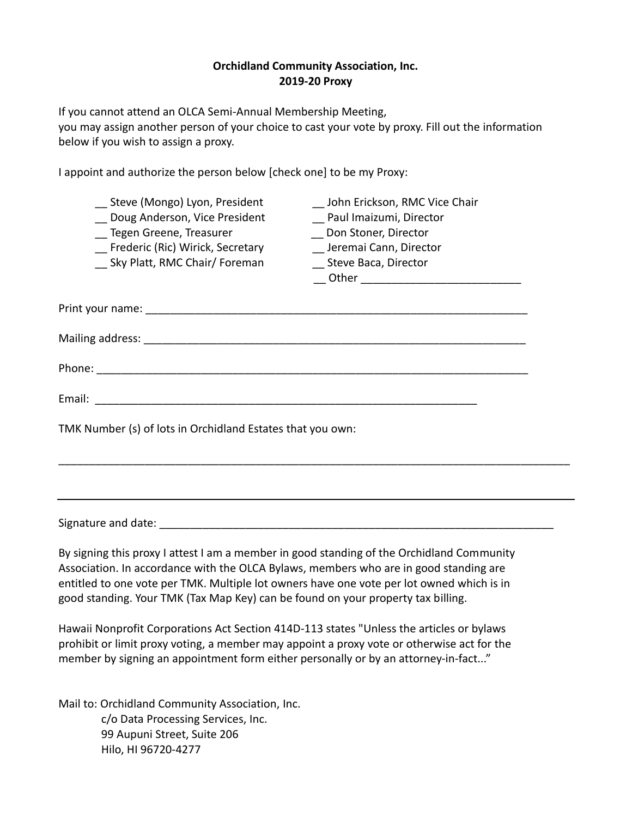## **Orchidland Community Association, Inc. 2019-20 Proxy**

If you cannot attend an OLCA Semi-Annual Membership Meeting,

you may assign another person of your choice to cast your vote by proxy. Fill out the information below if you wish to assign a proxy.

I appoint and authorize the person below [check one] to be my Proxy:

| __ Steve (Mongo) Lyon, President                           | John Erickson, RMC Vice Chair |
|------------------------------------------------------------|-------------------------------|
| Doug Anderson, Vice President                              | Paul Imaizumi, Director       |
| Tegen Greene, Treasurer                                    | Don Stoner, Director          |
| Frederic (Ric) Wirick, Secretary                           | Jeremai Cann, Director        |
| Sky Platt, RMC Chair/ Foreman                              | _ Steve Baca, Director        |
|                                                            |                               |
|                                                            |                               |
|                                                            |                               |
|                                                            |                               |
|                                                            |                               |
|                                                            |                               |
|                                                            |                               |
|                                                            |                               |
|                                                            |                               |
| TMK Number (s) of lots in Orchidland Estates that you own: |                               |
|                                                            |                               |

\_\_\_\_\_\_\_\_\_\_\_\_\_\_\_\_\_\_\_\_\_\_\_\_\_\_\_\_\_\_\_\_\_\_\_\_\_\_\_\_\_\_\_\_\_\_\_\_\_\_\_\_\_\_\_\_\_\_\_\_\_\_\_\_\_\_\_\_\_\_\_\_\_\_\_\_\_\_\_\_\_\_\_

Signature and date:  $\Box$ 

By signing this proxy I attest I am a member in good standing of the Orchidland Community Association. In accordance with the OLCA Bylaws, members who are in good standing are entitled to one vote per TMK. Multiple lot owners have one vote per lot owned which is in good standing. Your TMK (Tax Map Key) can be found on your property tax billing.

Hawaii Nonprofit Corporations Act Section 414D-113 states "Unless the articles or bylaws prohibit or limit proxy voting, a member may appoint a proxy vote or otherwise act for the member by signing an appointment form either personally or by an attorney-in-fact..."

Mail to: Orchidland Community Association, Inc. c/o Data Processing Services, Inc. 99 Aupuni Street, Suite 206 Hilo, HI 96720-4277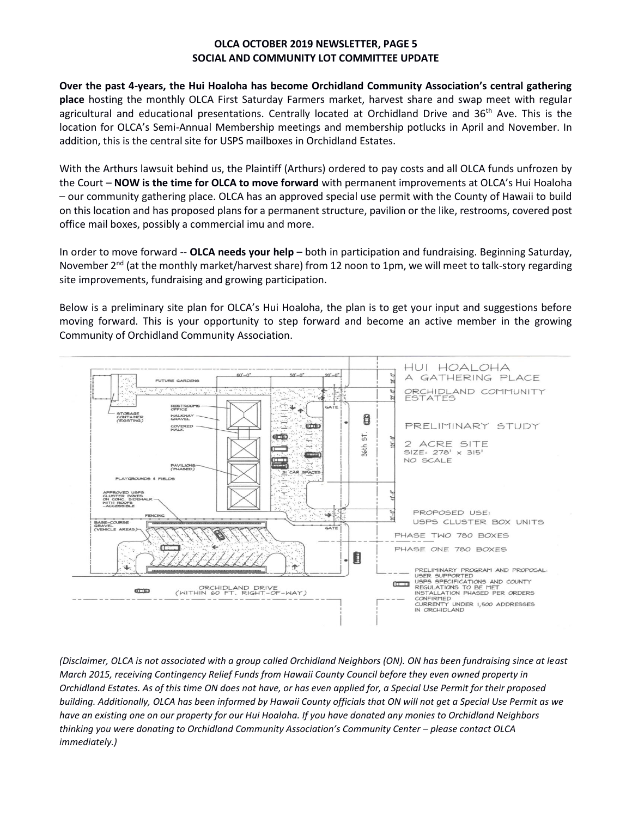## **OLCA OCTOBER 2019 NEWSLETTER, PAGE 5 SOCIAL AND COMMUNITY LOT COMMITTEE UPDATE**

**Over the past 4-years, the Hui Hoaloha has become Orchidland Community Association's central gathering place** hosting the monthly OLCA First Saturday Farmers market, harvest share and swap meet with regular agricultural and educational presentations. Centrally located at Orchidland Drive and  $36<sup>th</sup>$  Ave. This is the location for OLCA's Semi-Annual Membership meetings and membership potlucks in April and November. In addition, this is the central site for USPS mailboxes in Orchidland Estates.

With the Arthurs lawsuit behind us, the Plaintiff (Arthurs) ordered to pay costs and all OLCA funds unfrozen by the Court – **NOW is the time for OLCA to move forward** with permanent improvements at OLCA's Hui Hoaloha – our community gathering place. OLCA has an approved special use permit with the County of Hawaii to build on this location and has proposed plans for a permanent structure, pavilion or the like, restrooms, covered post office mail boxes, possibly a commercial imu and more.

In order to move forward -- **OLCA needs your help** – both in participation and fundraising. Beginning Saturday, November  $2^{nd}$  (at the monthly market/harvest share) from 12 noon to 1pm, we will meet to talk-story regarding site improvements, fundraising and growing participation.

Below is a preliminary site plan for OLCA's Hui Hoaloha, the plan is to get your input and suggestions before moving forward. This is your opportunity to step forward and become an active member in the growing Community of Orchidland Community Association.



*(Disclaimer, OLCA is not associated with a group called Orchidland Neighbors (ON). ON has been fundraising since at least March 2015, receiving Contingency Relief Funds from Hawaii County Council before they even owned property in Orchidland Estates. As of this time ON does not have, or has even applied for, a Special Use Permit for their proposed building. Additionally, OLCA has been informed by Hawaii County officials that ON will not get a Special Use Permit as we have an existing one on our property for our Hui Hoaloha. If you have donated any monies to Orchidland Neighbors thinking you were donating to Orchidland Community Association's Community Center – please contact OLCA immediately.)*